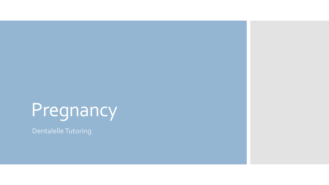# Pregnancy

Dentalelle Tutoring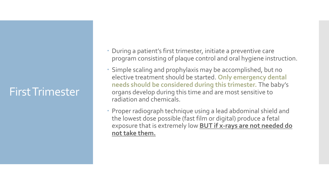#### First Trimester

- During a patient's first trimester, initiate a preventive care program consisting of plaque control and oral hygiene instruction.
- Simple scaling and prophylaxis may be accomplished, but no elective treatment should be started. **Only emergency dental needs should be considered during this trimester.** The baby's organs develop during this time and are most sensitive to radiation and chemicals.
- Proper radiograph technique using a lead abdominal shield and the lowest dose possible (fast film or digital) produce a fetal exposure that is extremely low **BUT if x-rays are not needed do not take them.**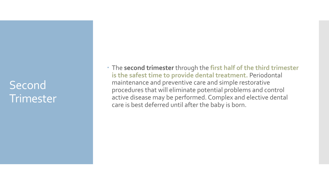#### Second **Trimester**

 The **second trimester** through the **first half of the third trimester is the safest time to provide dental treatment.** Periodontal maintenance and preventive care and simple restorative procedures that will eliminate potential problems and control active disease may be performed. Complex and elective dental care is best deferred until after the baby is born.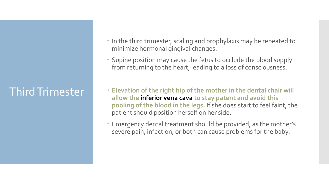#### Third Trimester

- In the third trimester, scaling and prophylaxis may be repeated to minimize hormonal gingival changes.
- Supine position may cause the fetus to occlude the blood supply from returning to the heart, leading to a loss of consciousness.
- **Elevation of the right hip of the mother in the dental chair will allow the inferior vena cava to stay patent and avoid this pooling of the blood in the legs.** If she does start to feel faint, the patient should position herself on her side.
- Emergency dental treatment should be provided, as the mother's severe pain, infection, or both can cause problems for the baby.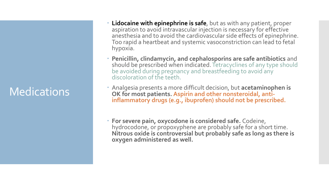#### **Medications**

- **Lidocaine with epinephrine is safe**, but as with any patient, proper aspiration to avoid intravascular injection is necessary for effective anesthesia and to avoid the cardiovascular side effects of epinephrine. Too rapid a heartbeat and systemic vasoconstriction can lead to fetal hypoxia.
- **Penicillin, clindamycin, and cephalosporins are safe antibiotics** and should be prescribed when indicated. Tetracyclines of any type should be avoided during pregnancy and breastfeeding to avoid any discoloration of the teeth.
- Analgesia presents a more difficult decision, but **acetaminophen is**  OK for most patients. Aspirin and other nonsteroidal, anti**inflammatory drugs (e.g., ibuprofen) should not be prescribed.**
- **For severe pain, oxycodone is considered safe.** Codeine, hydrocodone, or propoxyphene are probably safe for a short time. **Nitrous oxide is controversial but probably safe as long as there is oxygen administered as well.**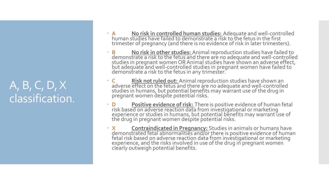#### A, B, C, D, X classification.

- **A No risk in controlled human studies:** Adequate and well-controlled human studies have failed to demonstrate a risk to the fetus in the first trimester of pregnancy (and there is no evidence of risk in later trimesters).
- **B No risk in other studies:** Animal reproduction studies have failed to demonstrate a risk to the fetus and there are no adequate and well-controlled studies in pregnant women OR Animal studies have shown an adverse effect, but adequate and well-controlled studies in pregnant women have failed to demonstrate a risk to the fetus in any trimester.
- **C Risk not ruled out:** Animal reproduction studies have shown an adverse effect on the fetus and there are no adequate and well-controlled studies in humans, but potential benefits may warrant use of the drug in pregnant women despite potential risks.
- **D Positive evidence of risk:** There is positive evidence of human fetal risk based on adverse reaction data from investigational or marketing experience or studies in humans, but potential benefits may warrant use of the drug in pregnant women despite potential risks.
- **X Contraindicated in Pregnancy:** Studies in animals or humans have demonstrated fetal abnormalities and/or there is positive evidence of human fetal risk based on adverse reaction data from investigational or marketing experience, and the risks involved in use of the drug in pregnant women clearly outweigh potential benefits.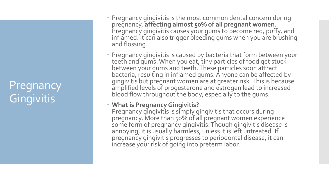#### Pregnancy **Gingivitis**

- Pregnancy gingivitis is the most common dental concern during pregnancy, **affecting almost 50% of all pregnant women.**  Pregnancy gingivitis causes your gums to become red, puffy, and inflamed. It can also trigger bleeding gums when you are brushing and flossing.
- Pregnancy gingivitis is caused by bacteria that form between your teeth and gums. When you eat, tiny particles of food get stuck between your gums and teeth. These particles soon attract bacteria, resulting in inflamed gums. Anyone can be affected by gingivitis but pregnant women are at greater risk. This is because amplified levels of progesterone and estrogen lead to increased blood flow throughout the body, especially to the gums.

#### **What is Pregnancy Gingivitis?**

Pregnancy gingivitis is simply gingivitis that occurs during pregnancy. More than 50% of all pregnant women experience some form of pregnancy gingivitis. Though gingivitis disease is annoying, it is usually harmless, unless it is left untreated. If pregnancy gingivitis progresses to periodontal disease, it can increase your risk of going into preterm labor.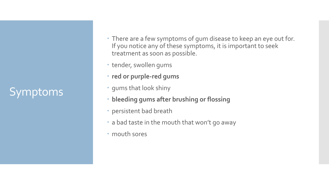### Symptoms

- There are a few symptoms of gum disease to keep an eye out for. If you notice any of these symptoms, it is important to seek treatment as soon as possible.
- tender, swollen gums
- **red or purple-red gums**
- gums that look shiny
- **bleeding gums after brushing or flossing**
- persistent bad breath
- a bad taste in the mouth that won't go away
- mouth sores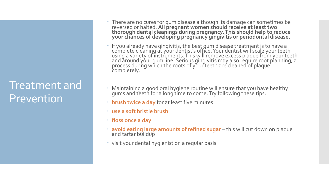#### Treatment and Prevention

- There are no cures for gum disease although its damage can sometimes be reversed or halted. **All pregnant women should receive at least two thorough dental cleanings during pregnancy. This should help to reduce your chances of developing pregnancy gingivitis or periodontal disease.**
- If you already have gingivitis, the best gum disease treatment is to have a complete cleaning at your dentist's office. Your dentist will scale your teeth using a variety of instruments. This will remove excess plaque from your teeth and around yóur gum line. Serious gingivitis may also require root planning, a process during which the roots of your teeth are cleaned of plaque' completely.
- Maintaining a good oral hygiene routine will ensure that you have healthy gums and teeth for a long'tĭme to come. Try following thése tips:
- **brush twice a day** for at least five minutes
- **use a soft bristle brush**
- **floss once a day**
- **avoid eating large amounts of refined sugar** this will cut down on plaque and tartar buildup
- visit your dental hygienist on a regular basis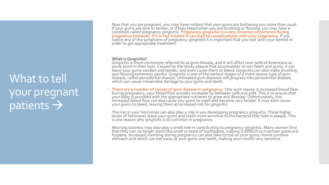#### What to tell your pregnant patients  $\rightarrow$

 Now that you are pregnant, you may have noticed that your gums are bothering you more than usual. If your gums are sore or tender, or if they bleed when you are brushing or flossing, you may have a condition called pregnancy gingivitis. **Pregnancy gingivitis is a very common occurrence during pregnancy however; if it is not treated it can lead to complications with your pregnancy.** If you notice any of the symptoms of pregnancy gingivitis it is important that you visit with your dentist in order to get appropriate treatment.

#### **What is Gingivitis?**

Gingivitis is more commonly referred to as gum disease, and it will affect over 90% of Americans at some point in their lives. Caused by the sticky plaque that accumulates on our teeth and gums, it can leave your gums swollen and tender, and even cause them to bleed. Gingivitis can also make brushing and flossing extremely painful. Gingivitis is one of the earliest stages of a more severe type of gum disease, called periodontal disease. Untreated gum diseases will progress into periodontal disease, which can cause irreversible damage to your gums and teeth.

- **There are a number of causes of gum disease in pregnancy.** One such reason is increased blood flow. During pregnancy, your blood flow actually increases by between 30% and 50%. This is to ensure that your baby is provided with the appropriate nutrients to grow and develop. Unfortunately, this increased blood flow can also cause you gums to swell and become very tender. It may even cause your gums to bleed, leaving them at increased risk for gingivitis.
- The rise in your hormones can also play a role in you developing pregnancy gingivitis. These higher levels of hormones leave your gums and teeth more sensitive to the bacteria that hide in plaque. This is one reason why gingivitis is so common in pregnancy.
- Morning sickness may also play a small role in contributing to pregnancy gingivitis. Many women find that they can no longer stand the smell or taste of toothpaste, making it difficult to maintain good oral hygiene. Increased vomiting during pregnancy can also take its toll on your gums. Vomit contains stomach acid which can eat away at your gums and teeth, making your mouth very sensitive.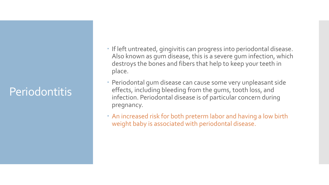#### Periodontitis

- If left untreated, gingivitis can progress into periodontal disease. Also known as gum disease, this is a severe gum infection, which destroys the bones and fibers that help to keep your teeth in place.
- Periodontal gum disease can cause some very unpleasant side effects, including bleeding from the gums, tooth loss, and infection. Periodontal disease is of particular concern during pregnancy.
- An increased risk for both preterm labor and having a low birth weight baby is associated with periodontal disease.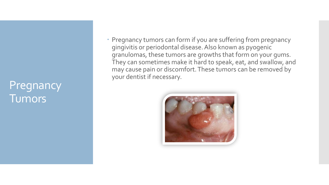#### Pregnancy **Tumors**

 Pregnancy tumors can form if you are suffering from pregnancy gingivitis or periodontal disease. Also known as pyogenic granulomas, these tumors are growths that form on your gums. They can sometimes make it hard to speak, eat, and swallow, and may cause pain or discomfort. These tumors can be removed by your dentist if necessary.

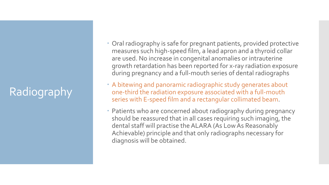## Radiography

- Oral radiography is safe for pregnant patients, provided protective measures such high-speed film, a lead apron and a thyroid collar are used. No increase in congenital anomalies or intrauterine growth retardation has been reported for x-ray radiation exposure during pregnancy and a full-mouth series of dental radiographs
- A bitewing and panoramic radiographic study generates about one-third the radiation exposure associated with a full-mouth series with E-speed film and a rectangular collimated beam.
- Patients who are concerned about radiography during pregnancy should be reassured that in all cases requiring such imaging, the dental staff will practise the ALARA (As Low As Reasonably Achievable) principle and that only radiographs necessary for diagnosis will be obtained.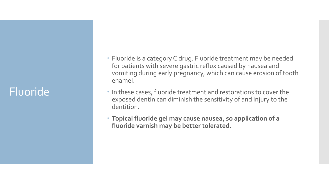#### Fluoride

- Fluoride is a category C drug. Fluoride treatment may be needed for patients with severe gastric reflux caused by nausea and vomiting during early pregnancy, which can cause erosion of tooth enamel.
- In these cases, fluoride treatment and restorations to cover the exposed dentin can diminish the sensitivity of and injury to the dentition.
- **Topical fluoride gel may cause nausea, so application of a fluoride varnish may be better tolerated.**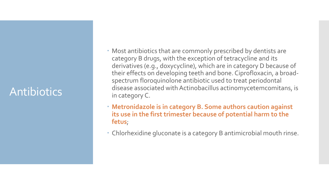#### Antibiotics

- Most antibiotics that are commonly prescribed by dentists are category B drugs, with the exception of tetracycline and its derivatives (e.g., doxycycline), which are in category D because of their effects on developing teeth and bone. Ciprofloxacin, a broadspectrum floroquinolone antibiotic used to treat periodontal disease associated with Actinobacillus actinomycetemcomitans, is in category C.
- **Metronidazole is in category B. Some authors caution against its use in the first trimester because of potential harm to the fetus**;
- Chlorhexidine gluconate is a category B antimicrobial mouth rinse.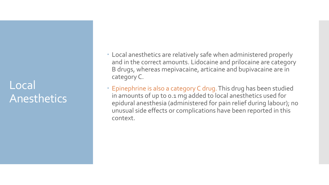#### Local Anesthetics

- Local anesthetics are relatively safe when administered properly and in the correct amounts. Lidocaine and prilocaine are category B drugs, whereas mepivacaine, articaine and bupivacaine are in category C.
- Epinephrine is also a category C drug. This drug has been studied in amounts of up to 0.1 mg added to local anesthetics used for epidural anesthesia (administered for pain relief during labour); no unusual side effects or complications have been reported in this context.